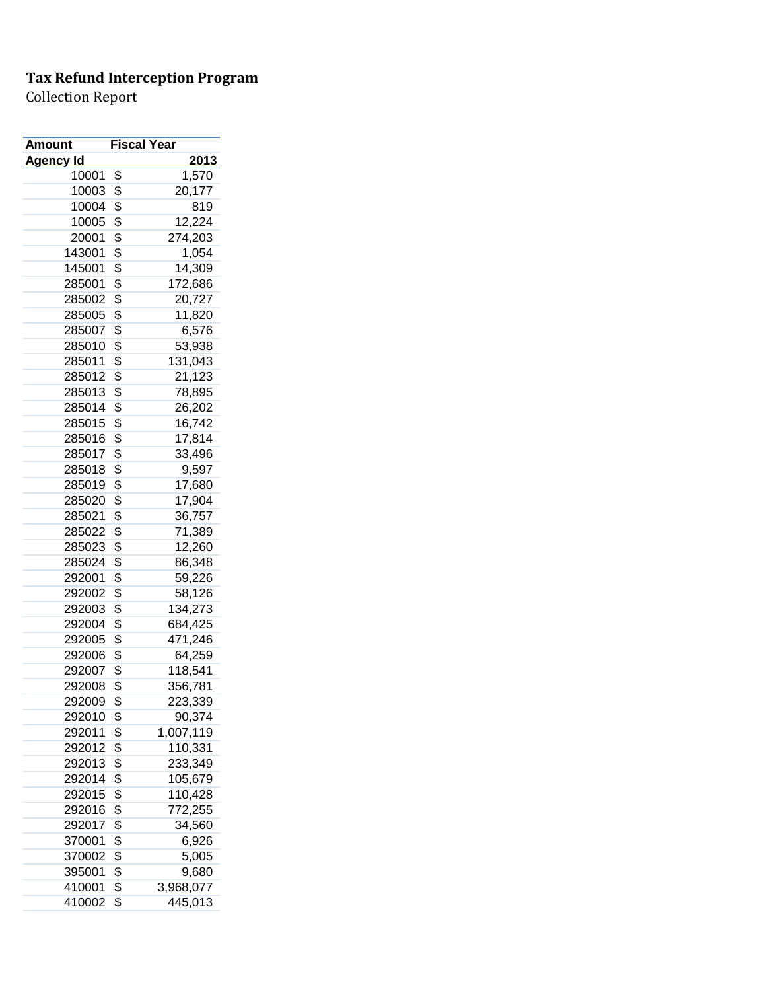| <b>Amount</b>    | <b>Fiscal Year</b> |
|------------------|--------------------|
| <b>Agency Id</b> | 2013               |
| 10001            | \$<br>1,570        |
| 10003            | \$<br>20,177       |
| 10004            | \$<br>819          |
| 10005            | \$<br>12,224       |
| 20001            | \$<br>274,203      |
| 143001           | \$<br>1,054        |
| 145001           | \$<br>14,309       |
| 285001           | \$<br>172,686      |
| 285002           | \$<br>20,727       |
| 285005           | \$<br>11,820       |
| 285007           | \$<br>6,576        |
| 285010           | \$<br>53,938       |
| 285011           | \$<br>131,043      |
| 285012           | \$<br>21,123       |
| 285013           | \$<br>78,895       |
| 285014           | \$<br>26,202       |
| 285015           | \$<br>16,742       |
| 285016           | \$<br>17,814       |
| 285017           | \$<br>33,496       |
| 285018           | \$<br>9,597        |
| 285019           | \$<br>17,680       |
| 285020           | \$<br>17,904       |
| 285021           | \$<br>36,757       |
| 285022           | \$<br>71,389       |
| 285023           | \$<br>12,260       |
| 285024           | \$<br>86,348       |
| 292001           | \$<br>59,226       |
| 292002           | \$<br>58,126       |
| 292003           | \$<br>134,273      |
| 292004           | \$<br>684,425      |
| 292005           | \$<br>471,246      |
| 292006           | \$<br>64,259       |
| 292007           | \$<br>118,541      |
| 292008           | \$<br>356,781      |
| 292009           | \$<br>223,339      |
| 292010           | \$<br>90,374       |
| 292011           | \$<br>1,007,119    |
| 292012           | \$<br>110,331      |
| 292013           | \$<br>233,349      |
| 292014           | \$<br>105,679      |
| 292015           | \$<br>110,428      |
| 292016           | \$<br>772,255      |
| 292017           | \$<br>34,560       |
| 370001           | \$<br>6,926        |
| 370002           | \$<br>5,005        |
| 395001           | \$<br>9,680        |
| 410001           | \$<br>3,968,077    |
| 410002           | \$<br>445,013      |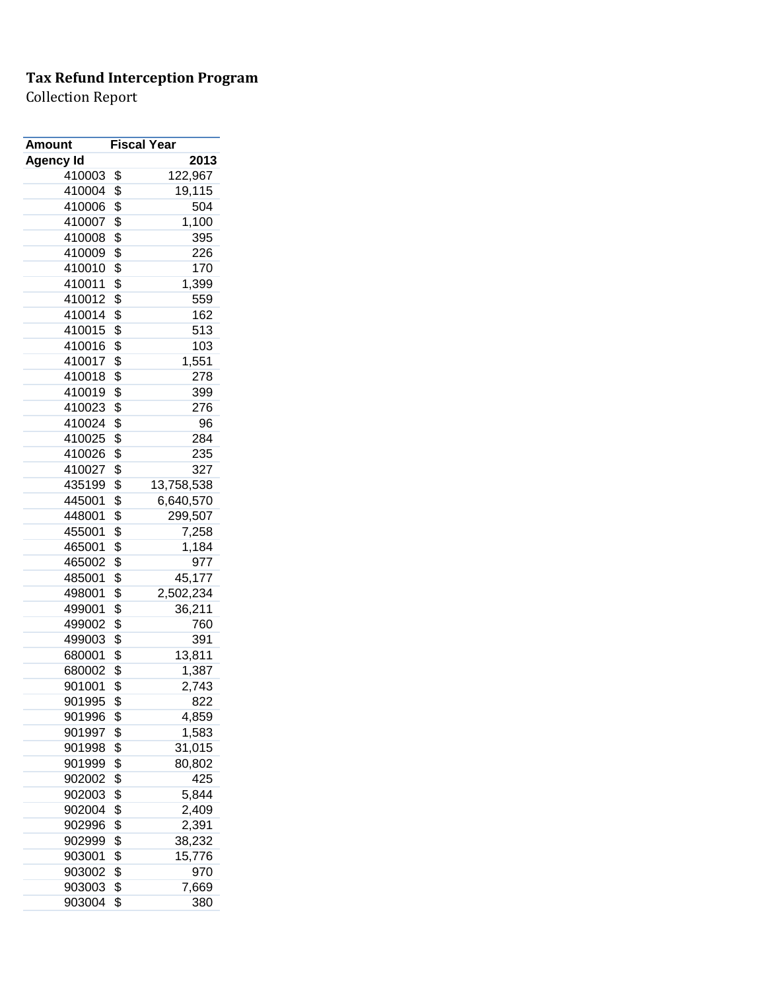| <b>Amount</b>    | <b>Fiscal Year</b> |            |
|------------------|--------------------|------------|
| <b>Agency Id</b> |                    | 2013       |
| 410003           | \$                 | 122,967    |
| 410004           | \$                 | 19,115     |
| 410006           | \$                 | 504        |
| 410007           | \$                 | 1,100      |
| 410008           | \$                 | 395        |
| 410009           | \$                 | 226        |
| 410010           | \$                 | 170        |
| 410011           | \$                 | 1,399      |
| 410012           | \$                 | 559        |
| 410014           | \$                 | 162        |
| 410015           | \$                 | 513        |
| 410016           | \$                 | 103        |
| 410017           | \$                 | 1,551      |
| 410018           | \$                 | 278        |
| 410019           | \$                 | 399        |
| 410023           | \$                 | 276        |
| 410024           | \$                 | 96         |
| 410025           | \$                 | 284        |
| 410026           | \$                 | 235        |
| 410027           | \$                 | 327        |
| 435199           | \$                 | 13,758,538 |
| 445001           | \$                 | 6,640,570  |
| 448001           | \$                 | 299,507    |
| 455001           | \$                 | 7,258      |
| 465001           | \$                 | 1,184      |
| 465002           | \$                 | 977        |
| 485001           | \$                 | 45,177     |
| 498001           | \$                 | 2,502,234  |
| 499001           | \$                 | 36,211     |
| 499002           | \$                 | 760        |
| 499003           | \$                 | 391        |
| 680001           | \$                 | 13,811     |
| 680002           | \$                 | 1,387      |
| 901001           | \$                 | 2,743      |
| 901995           | \$                 | 822        |
| 901996           | \$                 | 4,859      |
| 901997           | \$                 | 1,583      |
| 901998           | \$                 | 31,015     |
| 901999           | \$                 | 80,802     |
| 902002           | \$                 | 425        |
| 902003           | \$                 | 5,844      |
| 902004           | \$                 | 2,409      |
| 902996           | \$                 | 2,391      |
| 902999           | \$                 | 38,232     |
| 903001           | \$                 | 15,776     |
| 903002           | \$                 | 970        |
| 903003           | \$                 | 7,669      |
| 903004           | \$                 | 380        |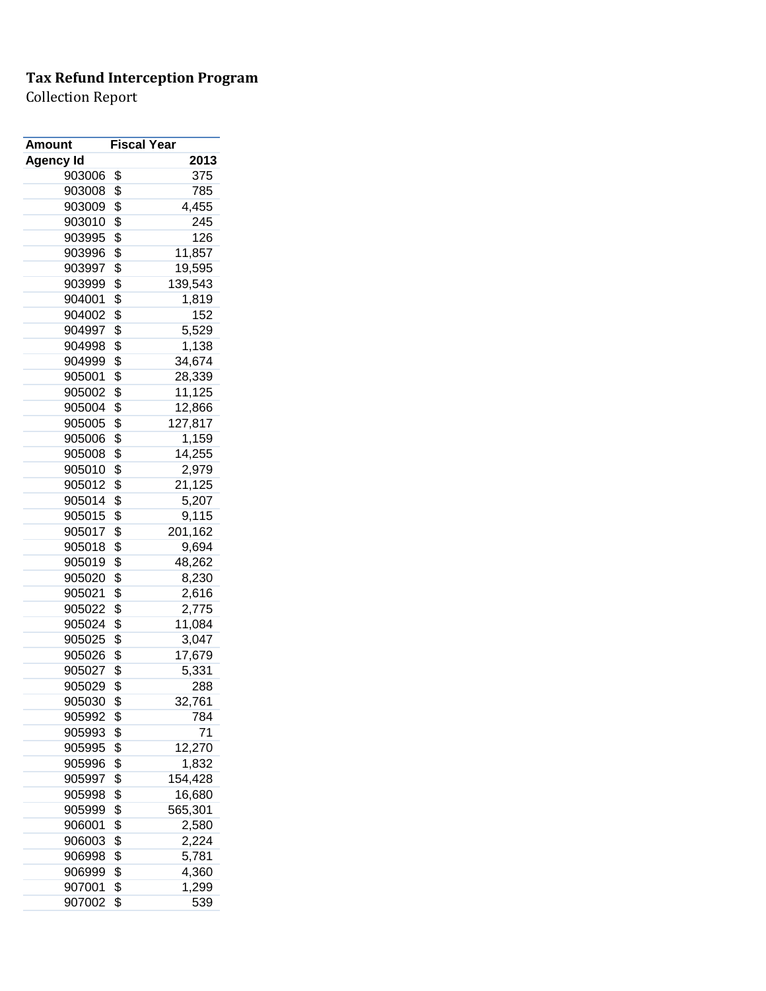| Amount           | <b>Fiscal Year</b> |         |
|------------------|--------------------|---------|
| <b>Agency Id</b> |                    | 2013    |
| 903006           | \$                 | 375     |
| 903008           | \$                 | 785     |
| 903009           | \$                 | 4,455   |
| 903010           | \$                 | 245     |
| 903995           | \$                 | 126     |
| 903996           | \$                 | 11,857  |
| 903997           | \$                 | 19,595  |
| 903999           | \$                 | 139,543 |
| 904001           | \$                 | 1,819   |
| 904002           | \$                 | 152     |
| 904997           | \$                 | 5,529   |
| 904998           | \$                 | 1,138   |
| 904999           | \$                 | 34,674  |
| 905001           | \$                 | 28,339  |
| 905002           | \$                 | 11,125  |
| 905004           | \$                 | 12,866  |
| 905005           | \$                 | 127,817 |
| 905006           | \$                 | 1,159   |
| 905008           | \$                 | 14,255  |
| 905010           | \$                 | 2,979   |
| 905012           | \$                 | 21,125  |
| 905014           | \$                 | 5,207   |
| 905015           | \$                 | 9,115   |
| 905017           | \$                 | 201,162 |
| 905018           | \$                 | 9,694   |
| 905019           | \$                 | 48,262  |
| 905020           | \$                 | 8,230   |
| 905021           | \$                 | 2,616   |
| 905022           | \$                 | 2,775   |
| 905024           | \$                 | 11,084  |
| 905025           | \$                 | 3,047   |
| 905026           | \$                 | 17,679  |
| 905027           | \$                 | 5,331   |
| 905029           | \$                 | 288     |
| 905030           | \$                 | 32,761  |
| 905992           | \$                 | 784     |
| 905993           | \$                 | 71      |
| 905995           | \$                 | 12,270  |
| 905996           | \$                 | 1,832   |
| 905997           | \$                 | 154,428 |
| 905998           | \$                 | 16,680  |
| 905999           | \$                 | 565,301 |
| 906001           | \$                 | 2,580   |
| 906003           | \$                 | 2,224   |
| 906998           | \$                 | 5,781   |
| 906999           | \$                 | 4,360   |
| 907001           | \$                 | 1,299   |
| 907002           | \$                 | 539     |
|                  |                    |         |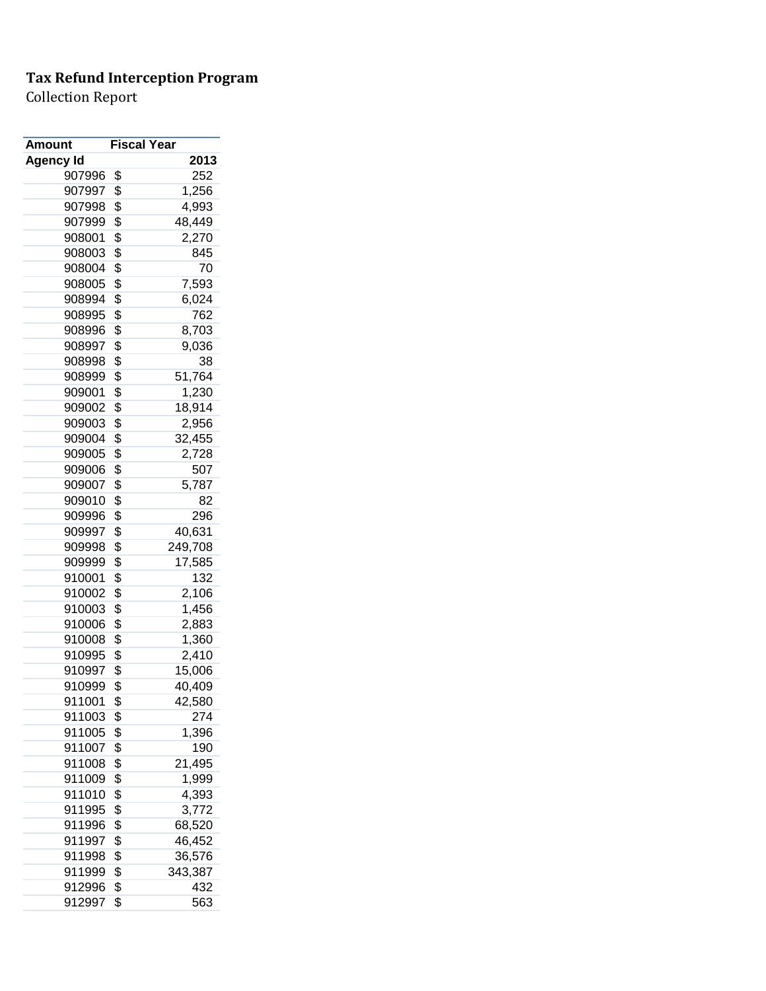| Amount           | <b>Fiscal Year</b> |         |
|------------------|--------------------|---------|
| <b>Agency Id</b> |                    | 2013    |
| 907996           | \$                 | 252     |
| 907997           | \$                 | 1,256   |
| 907998           | \$                 | 4,993   |
| 907999           | \$                 | 48,449  |
| 908001           | \$                 | 2,270   |
| 908003           | \$                 | 845     |
| 908004           | \$                 | 70      |
| 908005           | \$                 | 7,593   |
| 908994           | \$                 | 6,024   |
| 908995           | \$                 | 762     |
| 908996           | \$                 | 8,703   |
| 908997           | \$                 | 9,036   |
| 908998           | \$                 | 38      |
| 908999           | \$                 | 51,764  |
| 909001           | \$                 | 1,230   |
| 909002           | \$                 | 18,914  |
| 909003           | \$                 | 2,956   |
| 909004           | \$                 | 32,455  |
| 909005           | \$                 | 2,728   |
| 909006           | \$                 | 507     |
| 909007           | \$                 | 5,787   |
| 909010           | \$                 | 82      |
| 909996           | \$                 | 296     |
| 909997           | \$                 | 40,631  |
| 909998           | \$                 | 249,708 |
| 909999           | \$                 | 17,585  |
| 910001           | \$                 | 132     |
| 910002           | \$                 | 2,106   |
| 910003           | \$                 | 1,456   |
| 910006           | \$                 | 2,883   |
| 910008           | \$                 | 1,360   |
| 910995           | \$                 | 2,410   |
| 910997           | \$                 | 15,006  |
| 910999           | \$                 | 40,409  |
| 911001           | \$                 | 42,580  |
| 911003           | \$                 | 274     |
| 911005           | \$                 | 1,396   |
| 911007           | \$                 | 190     |
| 911008           | \$                 | 21,495  |
| 911009           | \$                 | 1,999   |
| 911010           | \$                 | 4,393   |
|                  | \$                 |         |
| 911995<br>911996 |                    | 3,772   |
|                  | \$                 | 68,520  |
| 911997           | \$                 | 46,452  |
| 911998           | \$                 | 36,576  |
| 911999           | \$                 | 343,387 |
| 912996           | \$                 | 432     |
| 912997           | \$                 | 563     |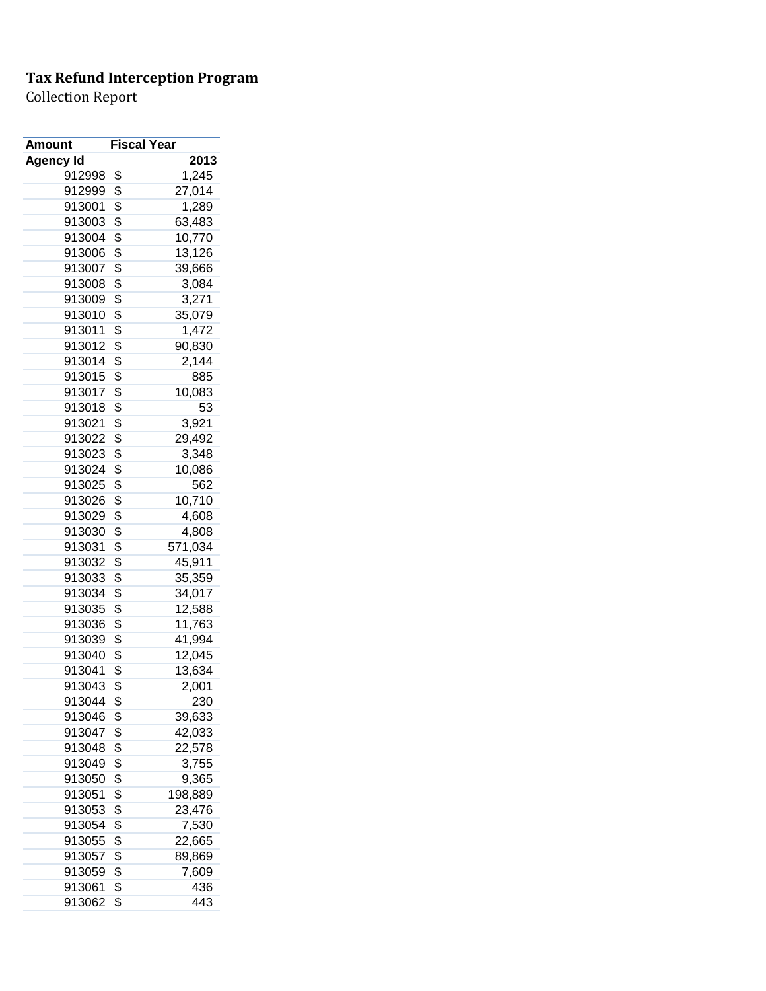| Amount           | <b>Fiscal Year</b> |         |
|------------------|--------------------|---------|
| <b>Agency Id</b> |                    | 2013    |
| 912998           | \$                 | 1,245   |
| 912999           | \$                 | 27,014  |
| 913001           | \$                 | 1,289   |
| 913003           | \$                 | 63,483  |
| 913004           | \$                 | 10,770  |
| 913006           | \$                 | 13,126  |
| 913007           | \$                 | 39,666  |
| 913008           | \$                 | 3,084   |
| 913009           | \$                 | 3,271   |
| 913010           | \$                 | 35,079  |
| 913011           | \$                 | 1,472   |
| 913012           | \$                 | 90,830  |
| 913014           | \$                 | 2,144   |
| 913015           | \$                 | 885     |
| 913017           | \$                 | 10,083  |
| 913018           | \$                 | 53      |
| 913021           | \$                 | 3,921   |
| 913022           | \$                 | 29,492  |
| 913023           | \$                 | 3,348   |
| 913024           | \$                 | 10,086  |
| 913025           | \$                 | 562     |
| 913026           | \$                 | 10,710  |
| 913029           | \$                 | 4,608   |
| 913030           | \$                 | 4,808   |
| 913031           | \$                 | 571,034 |
| 913032           | \$                 | 45,911  |
| 913033           | \$                 | 35,359  |
| 913034           | \$                 | 34,017  |
| 913035           | \$                 | 12,588  |
| 913036           | \$                 | 11,763  |
| 913039           | \$                 | 41,994  |
| 913040           | \$                 | 12,045  |
| 913041           | \$                 | 13,634  |
| 913043           | \$                 | 2,001   |
| 913044           | \$                 | 230     |
| 913046           | \$                 | 39,633  |
| 913047           | \$                 | 42,033  |
| 913048           | \$                 | 22,578  |
| 913049           | \$                 | 3,755   |
| 913050           | \$                 | 9,365   |
| 913051           | \$                 | 198,889 |
| 913053           | \$                 | 23,476  |
| 913054           | \$                 | 7,530   |
| 913055           | \$                 |         |
| 913057           | \$                 | 22,665  |
|                  |                    | 89,869  |
| 913059           | \$                 | 7,609   |
| 913061           | \$                 | 436     |
| 913062           | \$                 | 443     |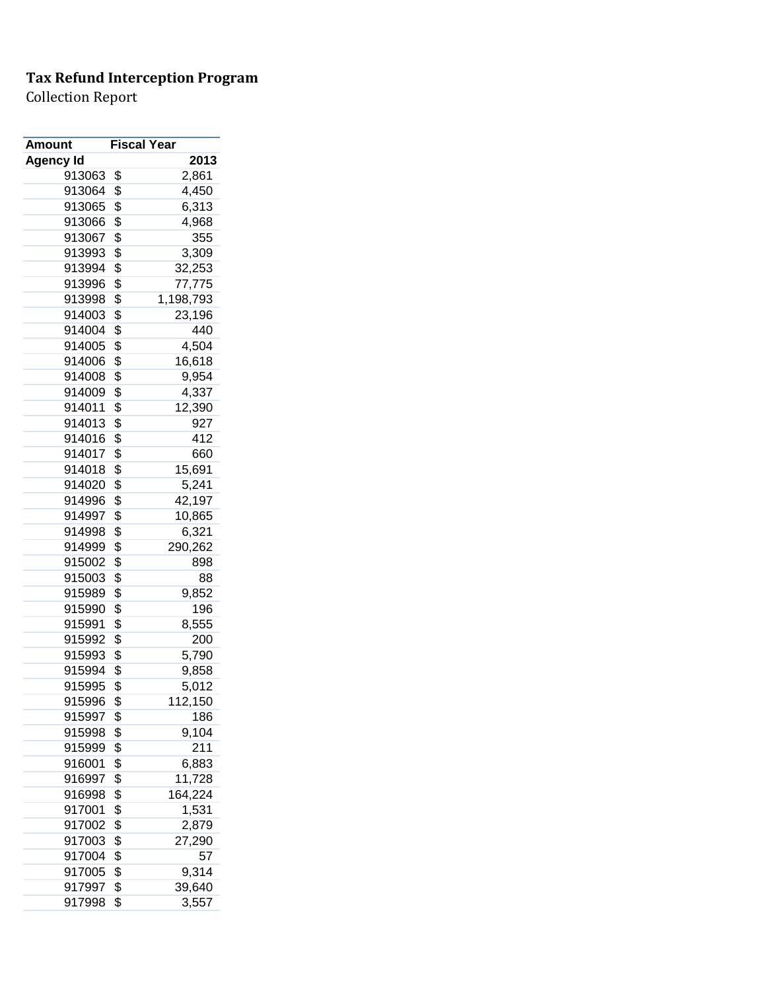| <b>Amount</b>    | <b>Fiscal Year</b> |
|------------------|--------------------|
| <b>Agency Id</b> | 2013               |
| 913063           | \$<br>2,861        |
| 913064           | \$<br>4,450        |
| 913065           | \$<br>6,313        |
| 913066           | \$<br>4,968        |
| 913067           | \$<br>355          |
| 913993           | \$<br>3,309        |
| 913994           | \$<br>32,253       |
| 913996           | \$<br>77,775       |
| 913998           | \$<br>1,198,793    |
| 914003           | \$<br>23,196       |
| 914004           | \$<br>440          |
| 914005           | \$<br>4,504        |
| 914006           | \$<br>16,618       |
| 914008           | \$<br>9,954        |
| 914009           | \$<br>4,337        |
| 914011           | \$<br>12,390       |
| 914013           | \$<br>927          |
| 914016           | \$<br>412          |
| 914017           | \$<br>660          |
| 914018           | \$<br>15,691       |
| 914020           | \$<br>5,241        |
| 914996           | \$<br>42,197       |
| 914997           | \$<br>10,865       |
| 914998           | \$<br>6,321        |
| 914999           | \$<br>290,262      |
| 915002           | \$<br>898          |
| 915003           | \$<br>88           |
| 915989           | \$<br>9,852        |
| 915990           | \$<br>196          |
| 915991           | \$<br>8,555        |
| 915992           | \$<br>200          |
| 915993           | \$<br>5,790        |
| 915994           | \$<br>9,858        |
| 915995           | \$<br>5,012        |
| 915996           | \$<br>112,150      |
| 915997           | \$<br>186          |
| 915998           | \$<br>9,104        |
| 915999           | \$<br>211          |
| 916001           | \$<br>6,883        |
| 916997           | \$<br>11,728       |
| 916998           | \$<br>164,224      |
| 917001           | \$<br>1,531        |
| 917002           | \$<br>2,879        |
| 917003           | \$<br>27,290       |
| 917004           | \$<br>57           |
| 917005           | \$<br>9,314        |
| 917997           | \$<br>39,640       |
| 917998           | \$<br>3,557        |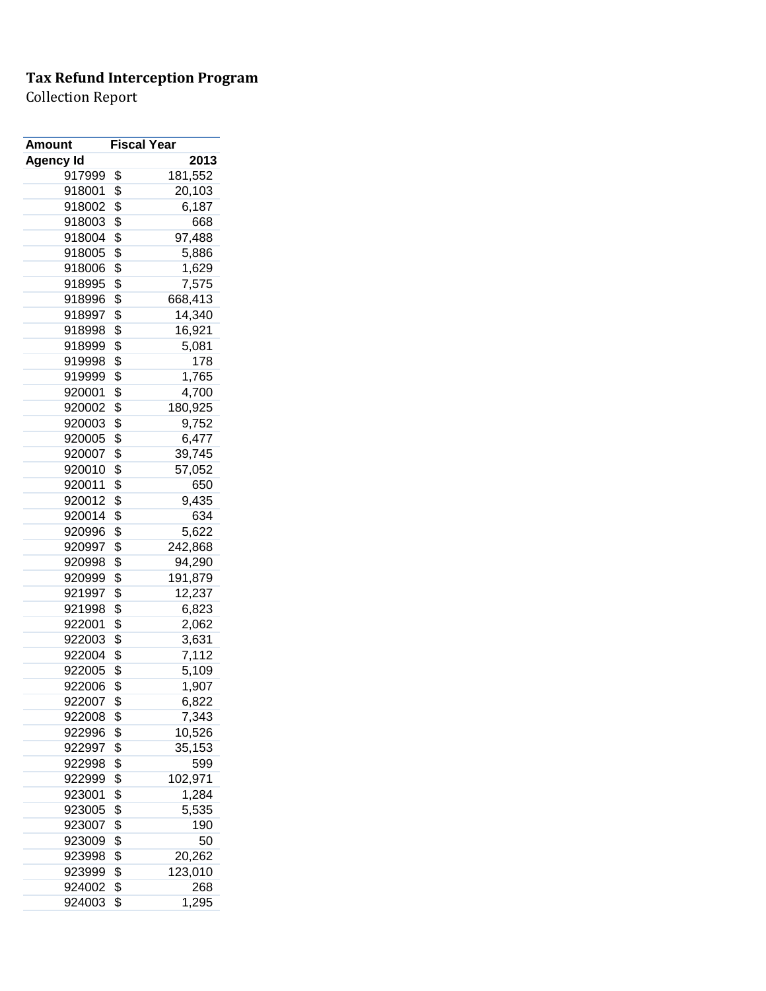| Amount           |          | <b>Fiscal Year</b> |
|------------------|----------|--------------------|
| Agency Id        |          | 2013               |
| 917999           | \$       | 181,552            |
| 918001           | \$       | 20,103             |
| 918002           | \$       | 6,187              |
| 918003           | \$       | 668                |
| 918004           | \$       | 97,488             |
| 918005           | \$       | 5,886              |
| 918006           | \$       | 1,629              |
| 918995           | \$       | 7,575              |
| 918996           | \$       | 668,413            |
| 918997           | \$       | 14,340             |
| 918998           | \$       | 16,921             |
| 918999           | \$       | 5,081              |
| 919998           | \$       | 178                |
| 919999           | \$       | 1,765              |
| 920001           | \$       | 4,700              |
| 920002           | \$       | 180,925            |
| 920003           | \$       | 9,752              |
| 920005           | \$       | 6,477              |
| 920007           | \$       | 39,745             |
| 920010           | \$       | 57,052             |
| 920011           | \$       | 650                |
| 920012           | \$       | 9,435              |
| 920014           | \$       | 634                |
| 920996           | \$       | 5,622              |
| 920997           | \$       | 242,868            |
| 920998           | \$       | 94,290             |
| 920999           | \$       | 191,879            |
| 921997           | \$       | 12,237             |
| 921998           | \$       | 6,823              |
| 922001           | \$       | 2,062              |
| 922003           | \$       | 3,631              |
| 922004           | \$       | 7,112              |
| 922005           | \$       | 5,109              |
| 922006           | \$       | 1,907              |
| 922007           | \$       |                    |
| 922008           | \$       | 6,822<br>7,343     |
|                  |          |                    |
| 922996<br>922997 | \$<br>\$ | 10,526             |
|                  |          | 35,153             |
| 922998           | \$       | 599                |
| 922999           | \$       | 102,971            |
| 923001           | \$       | 1,284              |
| 923005           | \$       | 5,535              |
| 923007           | \$       | 190                |
| 923009           | \$       | 50                 |
| 923998           | \$       | 20,262             |
| 923999           | \$       | 123,010            |
| 924002           | \$       | 268                |
| 924003           | \$       | 1,295              |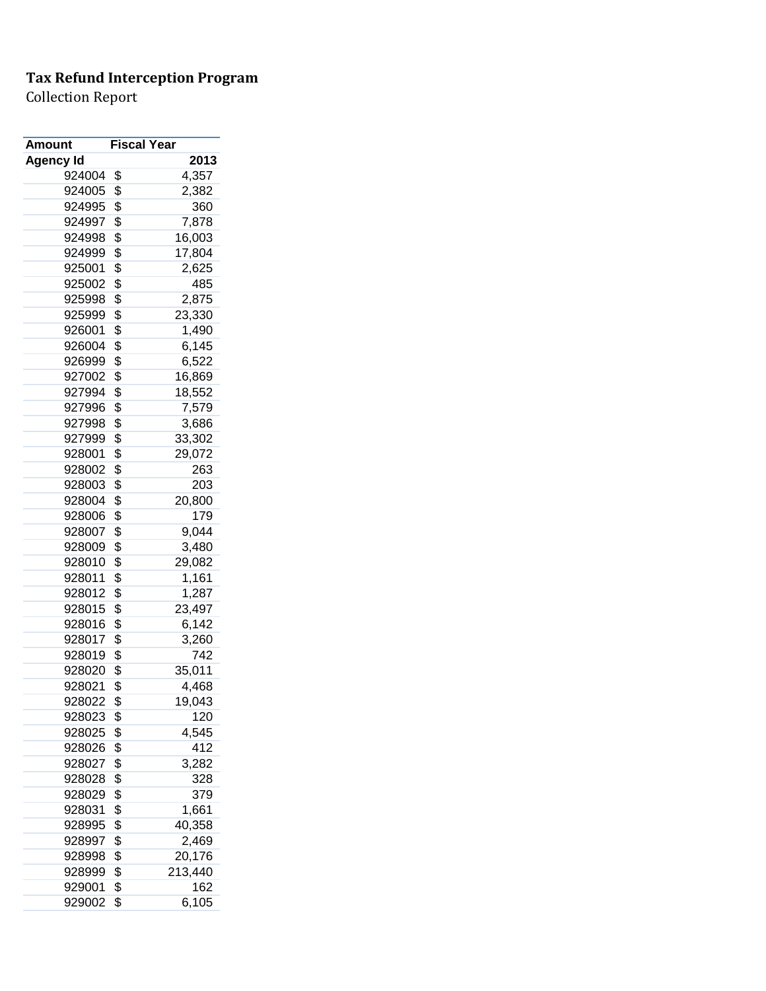| Amount           | <b>Fiscal Year</b> |         |
|------------------|--------------------|---------|
| <b>Agency Id</b> |                    | 2013    |
| 924004           | \$                 | 4,357   |
| 924005           | \$                 | 2,382   |
| 924995           | \$                 | 360     |
| 924997           | \$                 | 7,878   |
| 924998           | \$                 | 16,003  |
| 924999           | \$                 | 17,804  |
| 925001           | \$                 | 2,625   |
| 925002           | \$                 | 485     |
| 925998           | \$                 | 2,875   |
| 925999           | \$                 | 23,330  |
| 926001           | \$                 | 1,490   |
| 926004           | \$                 | 6,145   |
| 926999           | \$                 | 6,522   |
| 927002           | \$                 | 16,869  |
| 927994           | \$                 | 18,552  |
| 927996           | \$                 | 7,579   |
| 927998           | \$                 | 3,686   |
| 927999           | \$                 | 33,302  |
| 928001           | \$                 | 29,072  |
| 928002           | \$                 | 263     |
| 928003           | \$                 | 203     |
| 928004           | \$                 | 20,800  |
| 928006           | \$                 | 179     |
| 928007           | \$                 | 9,044   |
| 928009           | \$                 | 3,480   |
| 928010           | \$                 | 29,082  |
| 928011           | \$                 | 1,161   |
| 928012           | \$                 | 1,287   |
| 928015           | \$                 | 23,497  |
| 928016           | \$                 | 6,142   |
| 928017           | \$                 | 3,260   |
| 928019           | \$                 | 742     |
| 928020           | \$                 | 35,011  |
| 928021           | \$                 | 4,468   |
| 928022           | \$                 | 19,043  |
| 928023           | \$                 | 120     |
| 928025           | \$                 | 4,545   |
| 928026           | \$                 | 412     |
| 928027           | \$                 | 3,282   |
| 928028           | \$                 | 328     |
| 928029           | \$                 | 379     |
|                  | \$                 |         |
| 928031           |                    | 1,661   |
| 928995           | \$                 | 40,358  |
| 928997           | \$                 | 2,469   |
| 928998           | \$                 | 20,176  |
| 928999           | \$                 | 213,440 |
| 929001           | \$                 | 162     |
| 929002           | \$                 | 6,105   |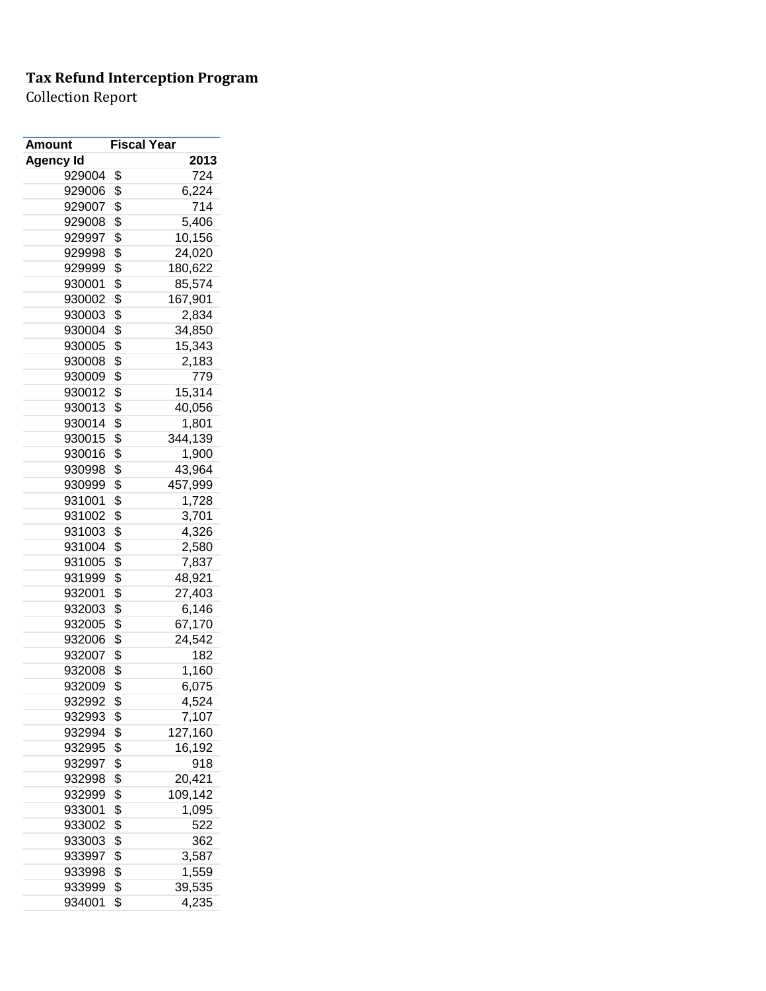| Amount           | <b>Fiscal Year</b> |         |
|------------------|--------------------|---------|
| <b>Agency Id</b> |                    | 2013    |
| 929004           | \$                 | 724     |
| 929006           | \$                 | 6,224   |
| 929007           | \$                 | 714     |
| 929008           | \$                 | 5,406   |
| 929997           | \$                 | 10,156  |
| 929998           | \$                 | 24,020  |
| 929999           | \$                 | 180,622 |
| 930001           | \$                 | 85,574  |
| 930002           | \$                 | 167,901 |
| 930003           | \$                 | 2,834   |
| 930004           | \$                 | 34,850  |
| 930005           | \$                 | 15,343  |
| 930008           | \$                 | 2,183   |
| 930009           | \$                 | 779     |
| 930012           | \$                 | 15,314  |
| 930013           | \$                 | 40,056  |
| 930014           | \$                 | 1,801   |
| 930015           | \$                 | 344,139 |
| 930016           | \$                 | 1,900   |
| 930998           | \$                 | 43,964  |
| 930999           | \$                 | 457,999 |
| 931001           | \$                 | 1,728   |
| 931002           | \$                 | 3,701   |
| 931003           | \$                 | 4,326   |
| 931004           | \$                 | 2,580   |
| 931005           | \$                 | 7,837   |
| 931999           | \$                 |         |
|                  |                    | 48,921  |
| 932001           | \$                 | 27,403  |
| 932003           | \$                 | 6,146   |
| 932005           | \$                 | 67,170  |
| 932006           | \$                 | 24,542  |
| 932007           | \$                 | 182     |
| 932008           | \$                 | 1,160   |
| 932009           | \$                 | 6,075   |
| 932992           | \$                 | 4,524   |
| 932993           | \$                 | 7,107   |
| 932994           | \$                 | 127,160 |
| 932995           | \$                 | 16,192  |
| 932997           | \$                 | 918     |
| 932998           | \$                 | 20,421  |
| 932999           | \$                 | 109,142 |
| 933001           | \$                 | 1,095   |
| 933002           | \$                 | 522     |
| 933003           | \$                 | 362     |
| 933997           | \$                 | 3,587   |
| 933998           | \$                 | 1,559   |
| 933999           | \$                 | 39,535  |
| 934001           | \$                 | 4,235   |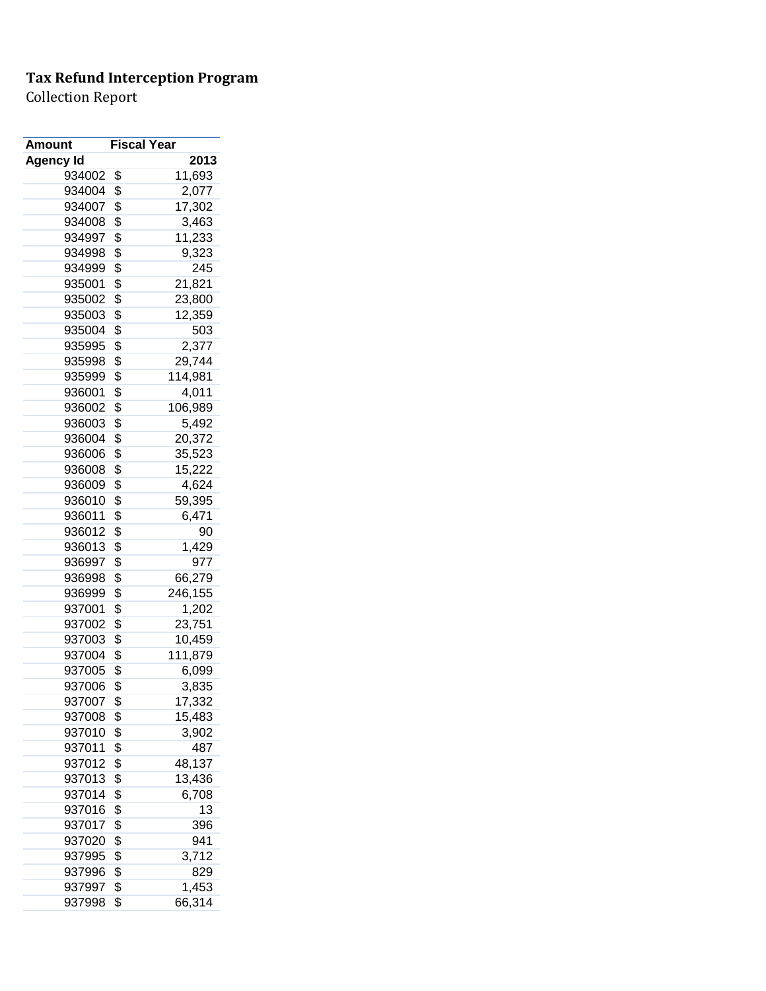| Amount           | <b>Fiscal Year</b> |         |
|------------------|--------------------|---------|
| <b>Agency Id</b> |                    | 2013    |
| 934002           | \$                 | 11,693  |
| 934004           | \$                 | 2,077   |
| 934007           | \$                 | 17,302  |
| 934008           | \$                 | 3,463   |
| 934997           | \$                 | 11,233  |
| 934998           | \$                 | 9,323   |
| 934999           | \$                 | 245     |
| 935001           | \$                 | 21,821  |
| 935002           | \$                 | 23,800  |
| 935003           | \$                 | 12,359  |
| 935004           | \$                 | 503     |
| 935995           | \$                 | 2,377   |
| 935998           | \$                 | 29,744  |
| 935999           | \$                 | 114,981 |
| 936001           | \$                 | 4,011   |
| 936002           | \$                 | 106,989 |
| 936003           | \$                 | 5,492   |
| 936004           | \$                 | 20,372  |
| 936006           | \$                 | 35,523  |
| 936008           | \$                 | 15,222  |
| 936009           | \$                 | 4,624   |
| 936010           | \$                 | 59,395  |
| 936011           | \$                 | 6,471   |
| 936012           | \$                 | 90      |
| 936013           | \$                 | 1,429   |
| 936997           | \$                 | 977     |
| 936998           | \$                 | 66,279  |
| 936999           | \$                 | 246,155 |
| 937001           | \$                 | 1,202   |
| 937002           | \$                 | 23,751  |
| 937003           | \$                 | 10,459  |
| 937004           | \$                 | 111,879 |
| 937005           | \$                 | 6,099   |
| 937006           | \$                 | 3,835   |
| 937007           | \$                 | 17,332  |
| 937008           | \$                 | 15,483  |
| 937010           | \$                 | 3,902   |
| 937011           | \$                 | 487     |
| 937012           | \$                 | 48,137  |
| 937013           | \$                 | 13,436  |
| 937014           | \$                 | 6,708   |
| 937016           | \$                 | 13      |
| 937017           | \$                 | 396     |
| 937020           | \$                 | 941     |
| 937995           | \$                 | 3,712   |
| 937996           | \$                 | 829     |
| 937997           | \$                 | 1,453   |
| 937998           | \$                 | 66,314  |
|                  |                    |         |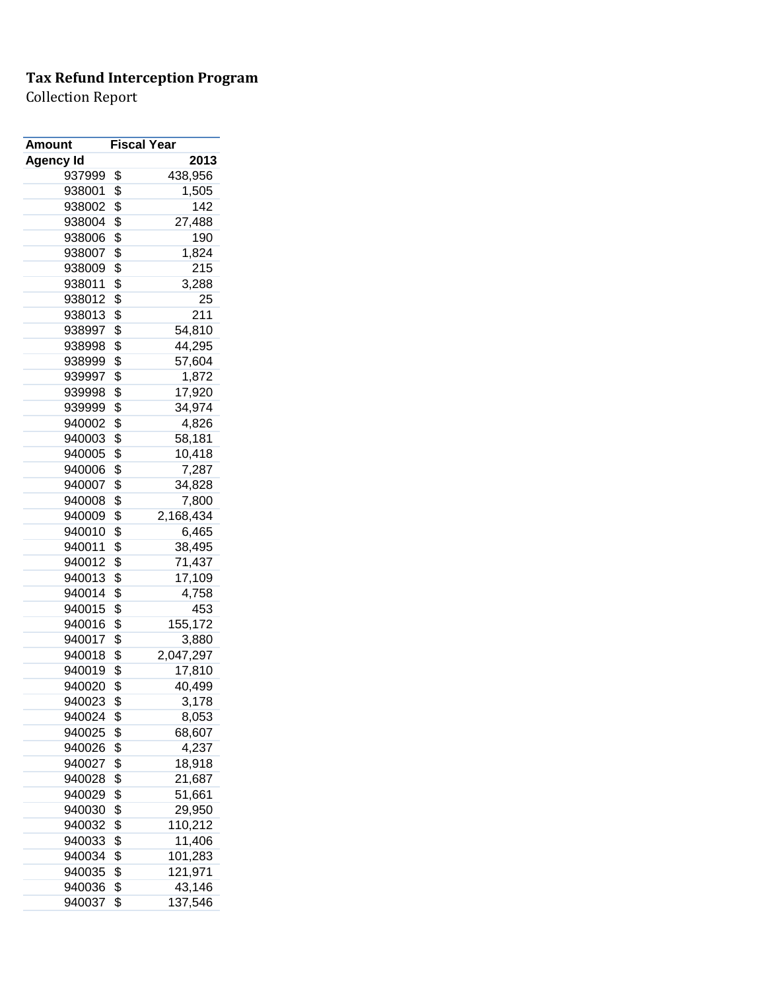| Amount           | <b>Fiscal Year</b>     |
|------------------|------------------------|
| <b>Agency Id</b> | 2013                   |
| 937999           | \$<br>438,956          |
| 938001           | \$<br>1,505            |
| 938002           | \$<br>142              |
| 938004           | \$<br>27,488           |
| 938006           | \$<br>190              |
| 938007           | \$<br>1,824            |
| 938009           | \$<br>215              |
| 938011           | \$<br>3,288            |
| 938012           | \$<br>25               |
| 938013           | \$<br>211              |
| 938997           | \$<br>54,810           |
| 938998           | \$<br>44,295           |
| 938999           | \$<br>57,604           |
| 939997           | \$<br>1,872            |
| 939998           | \$<br>17,920           |
| 939999           | \$<br>34,974           |
| 940002           | \$<br>4,826            |
| 940003           | \$<br>58,181           |
| 940005           | \$<br>10,418           |
| 940006           | \$<br>7,287            |
| 940007           | \$<br>34,828           |
| 940008           | \$<br>7,800            |
| 940009           | \$<br>2,168,434        |
| 940010           | \$<br>6,465            |
| 940011           | \$<br>38,495           |
| 940012           | \$<br>71,437           |
| 940013           | \$<br>17,109           |
| 940014           | \$<br>4,758            |
| 940015           | \$<br>453              |
| 940016           | \$<br>155,172          |
| 940017           | \$<br>3,880            |
| 940018           | \$<br>2,047,297        |
| 940019           | \$<br>17,810           |
| 940020           | \$<br>40,499           |
| 940023           | \$<br>3,178            |
| 940024           | \$<br>8,053            |
| 940025           | \$<br>68,607           |
| 940026           | \$                     |
| 940027           | \$<br>4,237            |
| 940028           | \$<br>18,918<br>21,687 |
|                  |                        |
| 940029           | \$<br>51,661           |
| 940030           | \$<br>29,950           |
| 940032           | \$<br>110,212          |
| 940033           | \$<br>11,406           |
| 940034           | \$<br>101,283          |
| 940035           | \$<br>121,971          |
| 940036           | \$<br>43,146           |
| 940037           | \$<br>137,546          |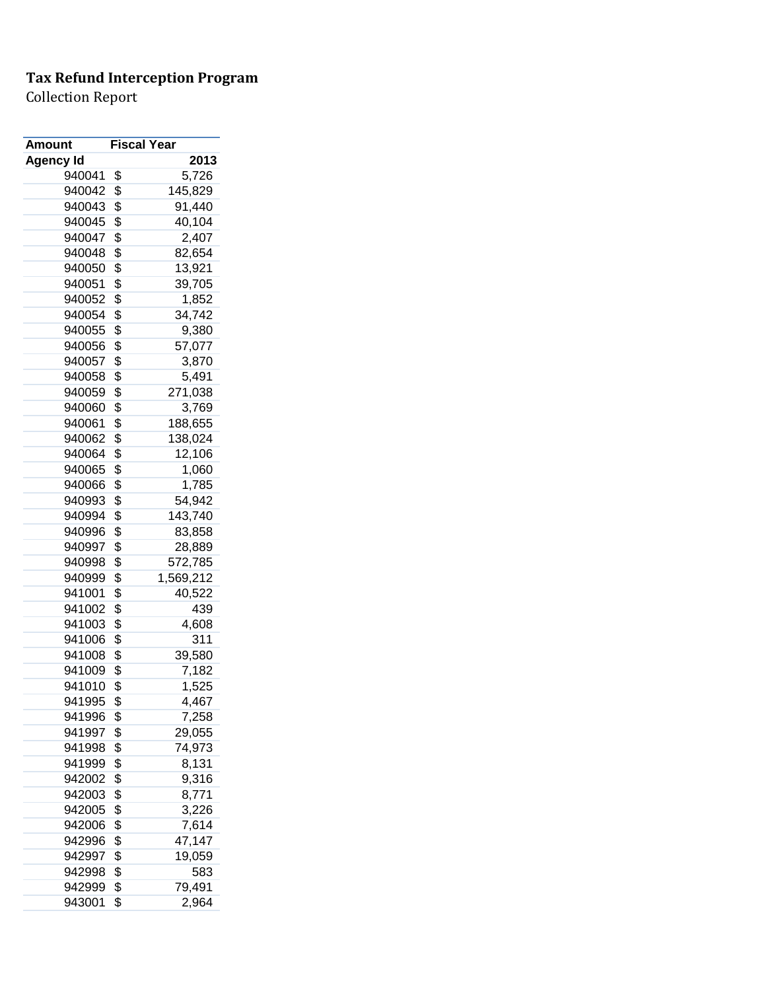| <b>Amount</b>    | <b>Fiscal Year</b> |           |
|------------------|--------------------|-----------|
| <b>Agency Id</b> |                    | 2013      |
| 940041           | \$                 | 5,726     |
| 940042           | \$                 | 145,829   |
| 940043           | \$                 | 91,440    |
| 940045           | \$                 | 40,104    |
| 940047           | \$                 | 2,407     |
| 940048           | \$                 | 82,654    |
| 940050           | \$                 | 13,921    |
| 940051           | \$                 | 39,705    |
| 940052           | \$                 | 1,852     |
| 940054           | \$                 | 34,742    |
| 940055           | \$                 | 9,380     |
| 940056           | \$                 | 57,077    |
| 940057           | \$                 | 3,870     |
| 940058           | \$                 | 5,491     |
| 940059           | \$                 | 271,038   |
| 940060           | \$                 | 3,769     |
| 940061           | \$                 | 188,655   |
| 940062           | \$                 | 138,024   |
| 940064           | \$                 | 12,106    |
| 940065           | \$                 | 1,060     |
| 940066           | \$                 | 1,785     |
| 940993           | \$                 | 54,942    |
| 940994           | \$                 | 143,740   |
| 940996           | \$                 | 83,858    |
| 940997           | \$                 | 28,889    |
| 940998           | \$                 | 572,785   |
| 940999           | \$                 | 1,569,212 |
| 941001           | \$                 | 40,522    |
| 941002           | \$                 | 439       |
| 941003           | \$                 | 4,608     |
| 941006           | \$                 | 311       |
| 941008           | \$                 | 39,580    |
| 941009           | \$                 | 7,182     |
| 941010           | \$                 | 1,525     |
| 941995           | \$                 | 4,467     |
| 941996           | \$                 | 7,258     |
| 941997           | \$                 | 29,055    |
| 941998           | \$                 | 74,973    |
| 941999           | \$                 | 8,131     |
| 942002           | \$                 | 9,316     |
| 942003           | \$                 | 8,771     |
| 942005           | \$                 | 3,226     |
| 942006           | \$                 | 7,614     |
| 942996           | \$                 | 47,147    |
| 942997           | \$                 | 19,059    |
| 942998           | \$                 | 583       |
| 942999           | \$                 | 79,491    |
| 943001           | \$                 | 2,964     |
|                  |                    |           |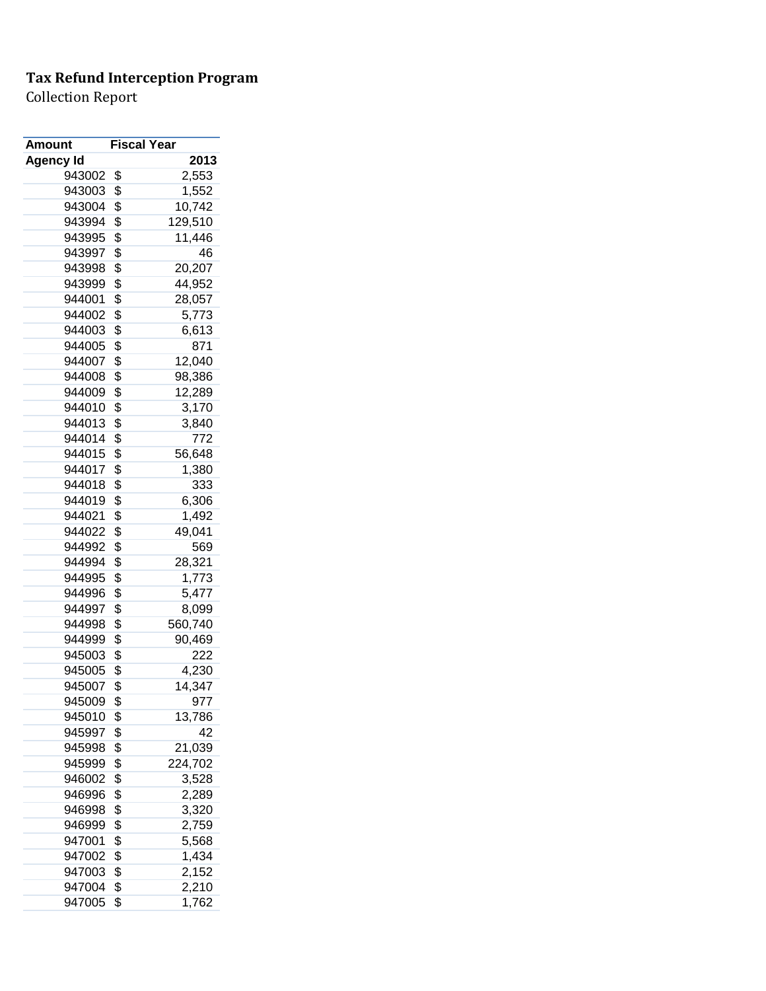| <b>Amount</b>    | <b>Fiscal Year</b> |         |
|------------------|--------------------|---------|
| <b>Agency Id</b> |                    | 2013    |
| 943002           | \$                 | 2,553   |
| 943003           | \$                 | 1,552   |
| 943004           | \$                 | 10,742  |
| 943994           | \$                 | 129,510 |
| 943995           | \$                 | 11,446  |
| 943997           | \$                 | 46      |
| 943998           | \$                 | 20,207  |
| 943999           | \$                 | 44,952  |
| 944001           | \$                 | 28,057  |
| 944002           | \$                 | 5,773   |
| 944003           | \$                 | 6,613   |
| 944005           | \$                 | 871     |
| 944007           | \$                 | 12,040  |
| 944008           | \$                 | 98,386  |
| 944009           | \$                 | 12,289  |
| 944010           | \$                 | 3,170   |
| 944013           | \$                 | 3,840   |
| 944014           | \$                 | 772     |
| 944015           | \$                 | 56,648  |
| 944017           | \$                 | 1,380   |
| 944018           | \$                 | 333     |
| 944019           | \$                 | 6,306   |
| 944021           | \$                 | 1,492   |
| 944022           | \$                 | 49,041  |
| 944992           | \$                 | 569     |
| 944994           | \$                 | 28,321  |
| 944995           | \$                 | 1,773   |
| 944996           | \$                 | 5,477   |
| 944997           | \$                 | 8,099   |
| 944998           | \$                 | 560,740 |
| 944999           | \$                 | 90,469  |
| 945003           | \$                 | 222     |
| 945005           | \$                 | 4,230   |
| 945007           | \$                 | 14,347  |
| 945009           | \$                 | 977     |
| 945010           | \$                 | 13,786  |
| 945997           | \$                 | 42      |
| 945998           | \$                 | 21,039  |
| 945999           | \$                 | 224,702 |
| 946002           | \$                 | 3,528   |
| 946996           | \$                 | 2,289   |
| 946998           | \$                 | 3,320   |
| 946999           | \$                 | 2,759   |
| 947001           | \$                 | 5,568   |
| 947002           | \$                 | 1,434   |
| 947003           | \$                 | 2,152   |
| 947004           | \$                 | 2,210   |
| 947005           | \$                 | 1,762   |
|                  |                    |         |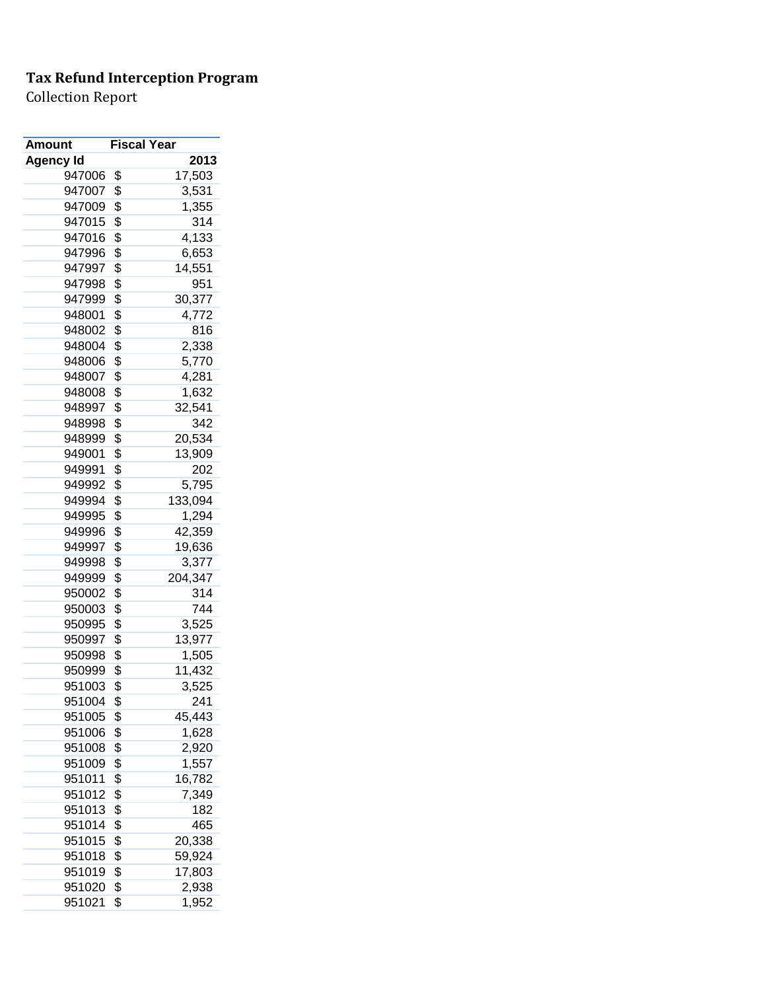| Amount           | <b>Fiscal Year</b> |         |
|------------------|--------------------|---------|
| <b>Agency Id</b> |                    | 2013    |
| 947006           | \$                 | 17,503  |
| 947007           | \$                 | 3,531   |
| 947009           | \$                 | 1,355   |
| 947015           | \$                 | 314     |
| 947016           | \$                 | 4,133   |
| 947996           | \$                 | 6,653   |
| 947997           | \$                 | 14,551  |
| 947998           | \$                 | 951     |
| 947999           | \$                 | 30,377  |
| 948001           | \$                 | 4,772   |
| 948002           | \$                 | 816     |
| 948004           | \$                 | 2,338   |
| 948006           | \$                 | 5,770   |
| 948007           | \$                 | 4,281   |
| 948008           | \$                 | 1,632   |
| 948997           | \$                 | 32,541  |
| 948998           | \$                 | 342     |
| 948999           | \$                 | 20,534  |
| 949001           | \$                 | 13,909  |
| 949991           | \$                 | 202     |
| 949992           | \$                 | 5,795   |
| 949994           | \$                 | 133,094 |
| 949995           | \$                 | 1,294   |
| 949996           | \$                 | 42,359  |
| 949997           | \$                 | 19,636  |
| 949998           | \$                 | 3,377   |
| 949999           | \$                 | 204,347 |
| 950002           | \$                 | 314     |
| 950003           | \$                 | 744     |
| 950995           | \$                 | 3,525   |
| 950997           | \$                 | 13,977  |
| 950998           | \$                 | 1,505   |
| 950999           | \$                 | 11,432  |
| 951003           | \$                 | 3,525   |
| 951004           | \$                 | 241     |
| 951005           | \$                 | 45,443  |
| 951006           | \$                 | 1,628   |
| 951008           | \$                 | 2,920   |
| 951009           | \$                 | 1,557   |
| 951011           | \$                 | 16,782  |
| 951012           | \$                 | 7,349   |
| 951013           | \$                 | 182     |
| 951014           | \$                 | 465     |
| 951015           | \$                 | 20,338  |
| 951018           | \$                 | 59,924  |
| 951019           | \$                 | 17,803  |
| 951020           | \$                 | 2,938   |
|                  |                    |         |
| 951021           | \$                 | 1,952   |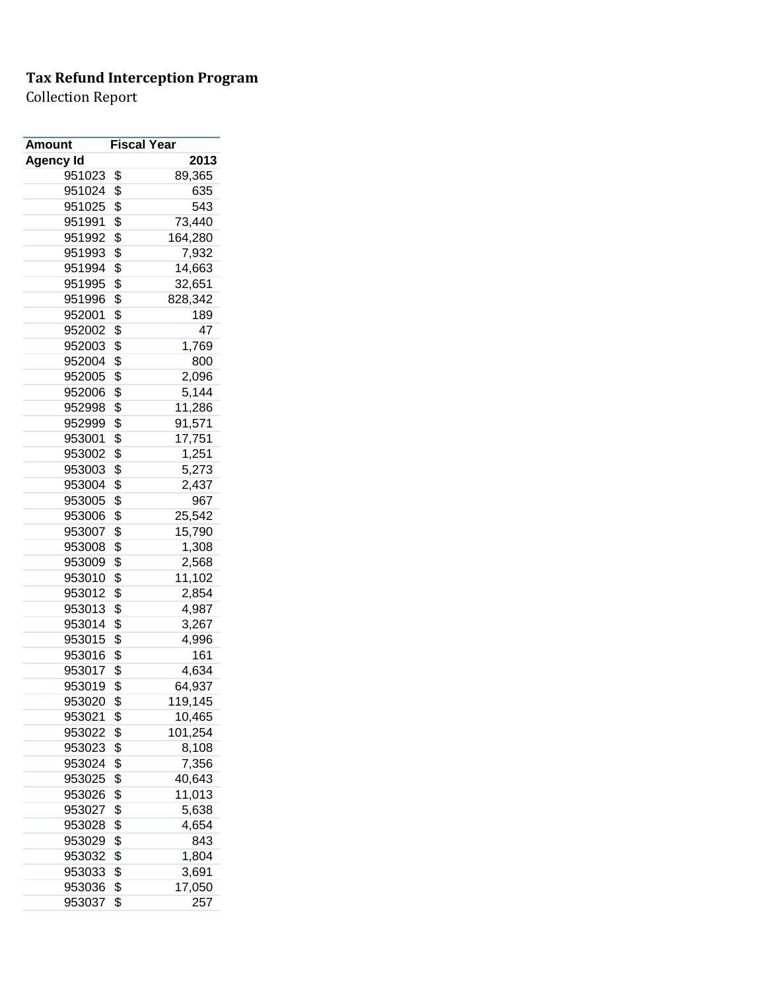| Amount           | <b>Fiscal Year</b> |         |
|------------------|--------------------|---------|
| <b>Agency Id</b> |                    | 2013    |
| 951023           | \$                 | 89,365  |
| 951024           | \$                 | 635     |
| 951025           | \$                 | 543     |
| 951991           | \$                 | 73,440  |
| 951992           | \$                 | 164,280 |
| 951993           | \$                 | 7,932   |
| 951994           | \$                 | 14,663  |
| 951995           | \$                 | 32,651  |
| 951996           | \$                 | 828,342 |
| 952001           | \$                 | 189     |
| 952002           | \$                 | 47      |
| 952003           | \$                 | 1,769   |
| 952004           | \$                 | 800     |
| 952005           | \$                 | 2,096   |
| 952006           | \$                 | 5,144   |
| 952998           | \$                 | 11,286  |
| 952999           | \$                 | 91,571  |
| 953001           | \$                 | 17,751  |
| 953002           | \$                 | 1,251   |
| 953003           | \$                 | 5,273   |
| 953004           | \$                 | 2,437   |
| 953005           | \$                 | 967     |
| 953006           | \$                 | 25,542  |
| 953007           | \$                 | 15,790  |
| 953008           | \$                 | 1,308   |
| 953009           | \$                 | 2,568   |
| 953010           | \$                 | 11,102  |
| 953012           | \$                 | 2,854   |
| 953013           | \$                 | 4,987   |
| 953014           | \$                 | 3,267   |
| 953015           | \$                 | 4,996   |
| 953016           | \$                 | 161     |
| 953017           | \$                 | 4,634   |
| 953019           | \$                 | 64,937  |
| 953020           | \$                 | 119,145 |
| 953021           | \$                 | 10,465  |
| 953022           | \$                 | 101,254 |
| 953023           | \$                 | 8,108   |
| 953024           | \$                 | 7,356   |
| 953025           | \$                 | 40,643  |
| 953026           | \$                 | 11,013  |
| 953027           | \$                 | 5,638   |
| 953028           | \$                 | 4,654   |
| 953029           | \$                 | 843     |
| 953032           | \$                 | 1,804   |
| 953033           | \$                 | 3,691   |
| 953036           | \$                 | 17,050  |
| 953037           | \$                 | 257     |
|                  |                    |         |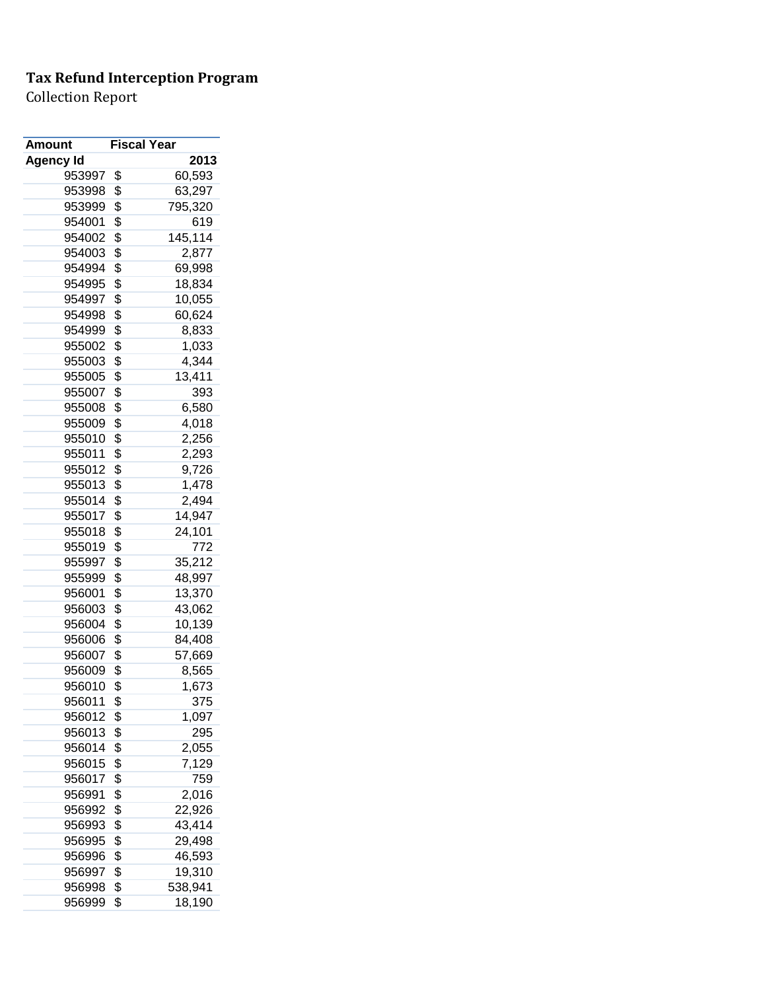| 2013<br><b>Agency Id</b><br>953997<br>\$<br>60,593<br>\$<br>63,297<br>953998<br>\$<br>953999<br>795,320<br>\$<br>954001<br>619<br>\$<br>145,114<br>954002<br>\$<br>954003<br>2,877<br>\$<br>954994<br>69,998<br>\$<br>954995<br>18,834<br>\$<br>954997<br>10,055<br>\$<br>954998<br>60,624<br>\$<br>954999<br>8,833<br>\$<br>955002<br>1,033<br>\$<br>955003<br>4,344<br>\$<br>955005<br>13,411<br>\$<br>955007<br>393<br>\$<br>955008<br>6,580<br>\$<br>955009<br>4,018<br>\$<br>955010<br>2,256<br>\$<br>955011<br>2,293<br>\$<br>955012<br>9,726<br>\$<br>955013<br>1,478<br>\$<br>955014<br>2,494<br>\$<br>14,947<br>955017<br>\$<br>955018<br>24,101<br>\$<br>955019<br>772<br>\$<br>955997<br>35,212<br>\$<br>955999<br>48,997<br>\$<br>956001<br>13,370<br>\$<br>956003<br>43,062<br>\$<br>956004<br>10,139<br>\$<br>956006<br>84,408<br>\$<br>956007<br>57,669<br>\$<br>8,565<br>956009<br>956010<br>\$<br>1,673<br>\$<br>956011<br>375<br>\$<br>956012<br>1,097<br>\$<br>295<br>956013<br>\$<br>956014<br>2,055<br>\$<br>7,129<br>956015<br>\$<br>759<br>956017 | <b>Amount</b> | <b>Fiscal Year</b> |  |
|--------------------------------------------------------------------------------------------------------------------------------------------------------------------------------------------------------------------------------------------------------------------------------------------------------------------------------------------------------------------------------------------------------------------------------------------------------------------------------------------------------------------------------------------------------------------------------------------------------------------------------------------------------------------------------------------------------------------------------------------------------------------------------------------------------------------------------------------------------------------------------------------------------------------------------------------------------------------------------------------------------------------------------------------------------------------------|---------------|--------------------|--|
|                                                                                                                                                                                                                                                                                                                                                                                                                                                                                                                                                                                                                                                                                                                                                                                                                                                                                                                                                                                                                                                                          |               |                    |  |
|                                                                                                                                                                                                                                                                                                                                                                                                                                                                                                                                                                                                                                                                                                                                                                                                                                                                                                                                                                                                                                                                          |               |                    |  |
|                                                                                                                                                                                                                                                                                                                                                                                                                                                                                                                                                                                                                                                                                                                                                                                                                                                                                                                                                                                                                                                                          |               |                    |  |
|                                                                                                                                                                                                                                                                                                                                                                                                                                                                                                                                                                                                                                                                                                                                                                                                                                                                                                                                                                                                                                                                          |               |                    |  |
|                                                                                                                                                                                                                                                                                                                                                                                                                                                                                                                                                                                                                                                                                                                                                                                                                                                                                                                                                                                                                                                                          |               |                    |  |
|                                                                                                                                                                                                                                                                                                                                                                                                                                                                                                                                                                                                                                                                                                                                                                                                                                                                                                                                                                                                                                                                          |               |                    |  |
|                                                                                                                                                                                                                                                                                                                                                                                                                                                                                                                                                                                                                                                                                                                                                                                                                                                                                                                                                                                                                                                                          |               |                    |  |
|                                                                                                                                                                                                                                                                                                                                                                                                                                                                                                                                                                                                                                                                                                                                                                                                                                                                                                                                                                                                                                                                          |               |                    |  |
|                                                                                                                                                                                                                                                                                                                                                                                                                                                                                                                                                                                                                                                                                                                                                                                                                                                                                                                                                                                                                                                                          |               |                    |  |
|                                                                                                                                                                                                                                                                                                                                                                                                                                                                                                                                                                                                                                                                                                                                                                                                                                                                                                                                                                                                                                                                          |               |                    |  |
|                                                                                                                                                                                                                                                                                                                                                                                                                                                                                                                                                                                                                                                                                                                                                                                                                                                                                                                                                                                                                                                                          |               |                    |  |
|                                                                                                                                                                                                                                                                                                                                                                                                                                                                                                                                                                                                                                                                                                                                                                                                                                                                                                                                                                                                                                                                          |               |                    |  |
|                                                                                                                                                                                                                                                                                                                                                                                                                                                                                                                                                                                                                                                                                                                                                                                                                                                                                                                                                                                                                                                                          |               |                    |  |
|                                                                                                                                                                                                                                                                                                                                                                                                                                                                                                                                                                                                                                                                                                                                                                                                                                                                                                                                                                                                                                                                          |               |                    |  |
|                                                                                                                                                                                                                                                                                                                                                                                                                                                                                                                                                                                                                                                                                                                                                                                                                                                                                                                                                                                                                                                                          |               |                    |  |
|                                                                                                                                                                                                                                                                                                                                                                                                                                                                                                                                                                                                                                                                                                                                                                                                                                                                                                                                                                                                                                                                          |               |                    |  |
|                                                                                                                                                                                                                                                                                                                                                                                                                                                                                                                                                                                                                                                                                                                                                                                                                                                                                                                                                                                                                                                                          |               |                    |  |
|                                                                                                                                                                                                                                                                                                                                                                                                                                                                                                                                                                                                                                                                                                                                                                                                                                                                                                                                                                                                                                                                          |               |                    |  |
|                                                                                                                                                                                                                                                                                                                                                                                                                                                                                                                                                                                                                                                                                                                                                                                                                                                                                                                                                                                                                                                                          |               |                    |  |
|                                                                                                                                                                                                                                                                                                                                                                                                                                                                                                                                                                                                                                                                                                                                                                                                                                                                                                                                                                                                                                                                          |               |                    |  |
|                                                                                                                                                                                                                                                                                                                                                                                                                                                                                                                                                                                                                                                                                                                                                                                                                                                                                                                                                                                                                                                                          |               |                    |  |
|                                                                                                                                                                                                                                                                                                                                                                                                                                                                                                                                                                                                                                                                                                                                                                                                                                                                                                                                                                                                                                                                          |               |                    |  |
|                                                                                                                                                                                                                                                                                                                                                                                                                                                                                                                                                                                                                                                                                                                                                                                                                                                                                                                                                                                                                                                                          |               |                    |  |
|                                                                                                                                                                                                                                                                                                                                                                                                                                                                                                                                                                                                                                                                                                                                                                                                                                                                                                                                                                                                                                                                          |               |                    |  |
|                                                                                                                                                                                                                                                                                                                                                                                                                                                                                                                                                                                                                                                                                                                                                                                                                                                                                                                                                                                                                                                                          |               |                    |  |
|                                                                                                                                                                                                                                                                                                                                                                                                                                                                                                                                                                                                                                                                                                                                                                                                                                                                                                                                                                                                                                                                          |               |                    |  |
|                                                                                                                                                                                                                                                                                                                                                                                                                                                                                                                                                                                                                                                                                                                                                                                                                                                                                                                                                                                                                                                                          |               |                    |  |
|                                                                                                                                                                                                                                                                                                                                                                                                                                                                                                                                                                                                                                                                                                                                                                                                                                                                                                                                                                                                                                                                          |               |                    |  |
|                                                                                                                                                                                                                                                                                                                                                                                                                                                                                                                                                                                                                                                                                                                                                                                                                                                                                                                                                                                                                                                                          |               |                    |  |
|                                                                                                                                                                                                                                                                                                                                                                                                                                                                                                                                                                                                                                                                                                                                                                                                                                                                                                                                                                                                                                                                          |               |                    |  |
|                                                                                                                                                                                                                                                                                                                                                                                                                                                                                                                                                                                                                                                                                                                                                                                                                                                                                                                                                                                                                                                                          |               |                    |  |
|                                                                                                                                                                                                                                                                                                                                                                                                                                                                                                                                                                                                                                                                                                                                                                                                                                                                                                                                                                                                                                                                          |               |                    |  |
|                                                                                                                                                                                                                                                                                                                                                                                                                                                                                                                                                                                                                                                                                                                                                                                                                                                                                                                                                                                                                                                                          |               |                    |  |
|                                                                                                                                                                                                                                                                                                                                                                                                                                                                                                                                                                                                                                                                                                                                                                                                                                                                                                                                                                                                                                                                          |               |                    |  |
|                                                                                                                                                                                                                                                                                                                                                                                                                                                                                                                                                                                                                                                                                                                                                                                                                                                                                                                                                                                                                                                                          |               |                    |  |
|                                                                                                                                                                                                                                                                                                                                                                                                                                                                                                                                                                                                                                                                                                                                                                                                                                                                                                                                                                                                                                                                          |               |                    |  |
|                                                                                                                                                                                                                                                                                                                                                                                                                                                                                                                                                                                                                                                                                                                                                                                                                                                                                                                                                                                                                                                                          |               |                    |  |
|                                                                                                                                                                                                                                                                                                                                                                                                                                                                                                                                                                                                                                                                                                                                                                                                                                                                                                                                                                                                                                                                          |               |                    |  |
|                                                                                                                                                                                                                                                                                                                                                                                                                                                                                                                                                                                                                                                                                                                                                                                                                                                                                                                                                                                                                                                                          |               |                    |  |
|                                                                                                                                                                                                                                                                                                                                                                                                                                                                                                                                                                                                                                                                                                                                                                                                                                                                                                                                                                                                                                                                          |               |                    |  |
|                                                                                                                                                                                                                                                                                                                                                                                                                                                                                                                                                                                                                                                                                                                                                                                                                                                                                                                                                                                                                                                                          |               |                    |  |
| \$<br>956991<br>2,016                                                                                                                                                                                                                                                                                                                                                                                                                                                                                                                                                                                                                                                                                                                                                                                                                                                                                                                                                                                                                                                    |               |                    |  |
| \$<br>956992<br>22,926                                                                                                                                                                                                                                                                                                                                                                                                                                                                                                                                                                                                                                                                                                                                                                                                                                                                                                                                                                                                                                                   |               |                    |  |
| \$<br>43,414<br>956993                                                                                                                                                                                                                                                                                                                                                                                                                                                                                                                                                                                                                                                                                                                                                                                                                                                                                                                                                                                                                                                   |               |                    |  |
| \$<br>956995<br>29,498                                                                                                                                                                                                                                                                                                                                                                                                                                                                                                                                                                                                                                                                                                                                                                                                                                                                                                                                                                                                                                                   |               |                    |  |
| \$<br>46,593<br>956996                                                                                                                                                                                                                                                                                                                                                                                                                                                                                                                                                                                                                                                                                                                                                                                                                                                                                                                                                                                                                                                   |               |                    |  |
| \$<br>956997<br>19,310                                                                                                                                                                                                                                                                                                                                                                                                                                                                                                                                                                                                                                                                                                                                                                                                                                                                                                                                                                                                                                                   |               |                    |  |
| \$<br>538,941<br>956998                                                                                                                                                                                                                                                                                                                                                                                                                                                                                                                                                                                                                                                                                                                                                                                                                                                                                                                                                                                                                                                  |               |                    |  |
| \$<br>18,190<br>956999                                                                                                                                                                                                                                                                                                                                                                                                                                                                                                                                                                                                                                                                                                                                                                                                                                                                                                                                                                                                                                                   |               |                    |  |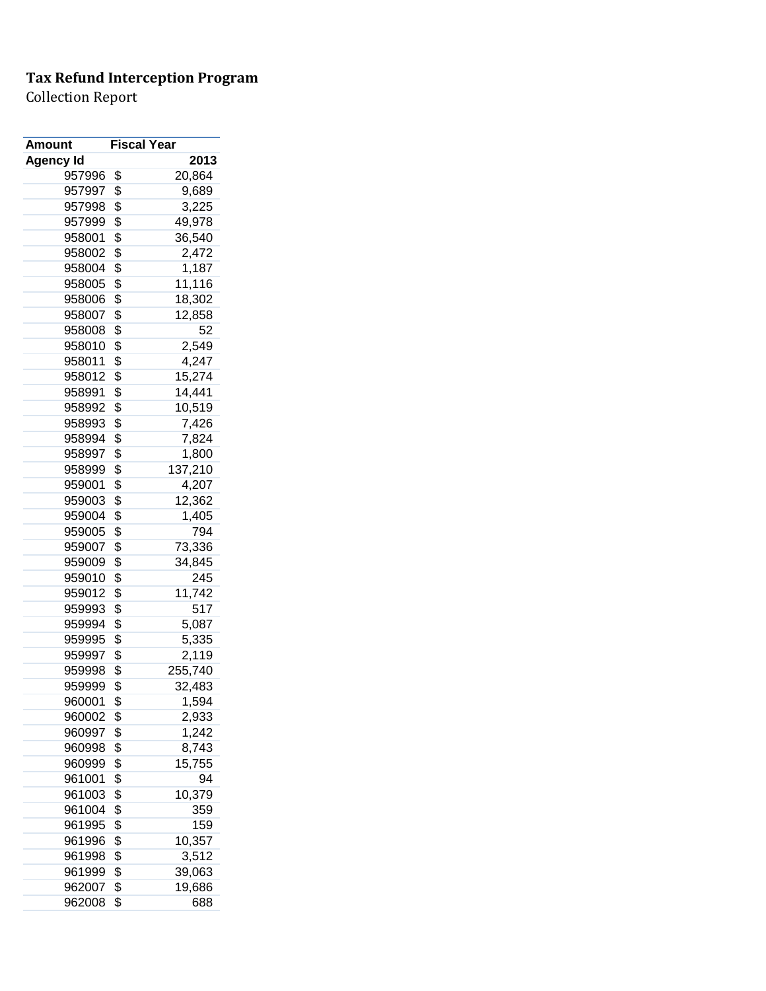| Amount           | <b>Fiscal Year</b> |         |
|------------------|--------------------|---------|
| <b>Agency Id</b> |                    | 2013    |
| 957996           | \$                 | 20,864  |
| 957997           | \$                 | 9,689   |
| 957998           | \$                 | 3,225   |
| 957999           | \$                 | 49,978  |
| 958001           | \$                 | 36,540  |
| 958002           | \$                 | 2,472   |
| 958004           | \$                 | 1,187   |
| 958005           | \$                 | 11,116  |
| 958006           | \$                 | 18,302  |
| 958007           | \$                 | 12,858  |
| 958008           | \$                 | 52      |
| 958010           | \$                 | 2,549   |
| 958011           | \$                 | 4,247   |
| 958012           | \$                 | 15,274  |
| 958991           | \$                 | 14,441  |
| 958992           | \$                 | 10,519  |
| 958993           | \$                 | 7,426   |
| 958994           | \$                 | 7,824   |
| 958997           | \$                 | 1,800   |
| 958999           | \$                 | 137,210 |
| 959001           | \$                 | 4,207   |
| 959003           | \$                 | 12,362  |
| 959004           | \$                 | 1,405   |
| 959005           | \$                 | 794     |
| 959007           | \$                 | 73,336  |
| 959009           | \$                 | 34,845  |
| 959010           | \$                 | 245     |
| 959012           | \$                 | 11,742  |
| 959993           | \$                 | 517     |
| 959994           | \$                 | 5,087   |
| 959995           | \$                 | 5,335   |
| 959997           | \$                 | 2,119   |
| 959998           | \$                 | 255,740 |
| 959999           | \$                 | 32,483  |
| 960001           | \$                 | 1,594   |
| 960002           | \$                 | 2,933   |
| 960997           | \$                 | 1,242   |
|                  |                    |         |
| 960998           | \$                 | 8,743   |
| 960999           | \$                 | 15,755  |
| 961001           | \$                 | 94      |
| 961003           | \$                 | 10,379  |
| 961004           | \$                 | 359     |
| 961995           | \$                 | 159     |
| 961996           | \$                 | 10,357  |
| 961998           | \$                 | 3,512   |
| 961999           | \$                 | 39,063  |
| 962007           | \$                 | 19,686  |
| 962008           | \$                 | 688     |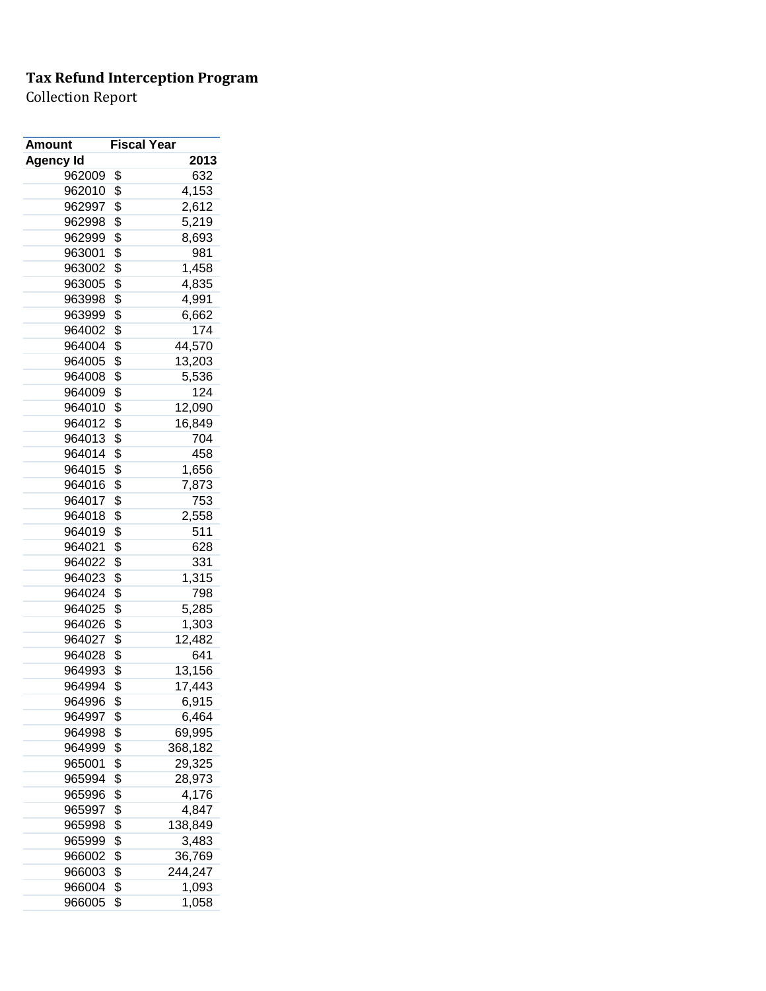| Amount           | <b>Fiscal Year</b> |         |
|------------------|--------------------|---------|
| <b>Agency Id</b> |                    | 2013    |
| 962009           | \$                 | 632     |
| 962010           | \$                 | 4,153   |
| 962997           | \$                 | 2,612   |
| 962998           | \$                 | 5,219   |
| 962999           | \$                 | 8,693   |
| 963001           | \$                 | 981     |
| 963002           | \$                 | 1,458   |
| 963005           | \$                 | 4,835   |
| 963998           | \$                 | 4,991   |
| 963999           | \$                 | 6,662   |
| 964002           | \$                 | 174     |
| 964004           | \$                 | 44,570  |
| 964005           | \$                 | 13,203  |
| 964008           | \$                 | 5,536   |
| 964009           | \$                 | 124     |
| 964010           | \$                 | 12,090  |
| 964012           | \$                 | 16,849  |
| 964013           | \$                 | 704     |
| 964014           | \$                 | 458     |
| 964015           | \$                 | 1,656   |
| 964016           | \$                 | 7,873   |
| 964017           | \$                 | 753     |
| 964018           | \$                 | 2,558   |
| 964019           | \$                 | 511     |
| 964021           | \$                 | 628     |
| 964022           | \$                 | 331     |
| 964023           | \$                 | 1,315   |
| 964024           | \$                 | 798     |
| 964025           | \$                 | 5,285   |
| 964026           | \$                 | 1,303   |
| 964027           | \$                 | 12,482  |
| 964028           | \$                 | 641     |
| 964993           | \$                 | 13,156  |
| 964994           | \$                 | 17,443  |
| 964996           | \$                 | 6,915   |
| 964997           | \$                 | 6,464   |
| 964998           | \$                 | 69,995  |
| 964999           | \$                 | 368,182 |
| 965001           | \$                 | 29,325  |
| 965994           | \$                 | 28,973  |
| 965996           | \$                 | 4,176   |
| 965997           | \$                 | 4,847   |
| 965998           | \$                 | 138,849 |
| 965999           | \$                 | 3,483   |
| 966002           | \$                 | 36,769  |
| 966003           | \$                 | 244,247 |
| 966004           | \$                 | 1,093   |
| 966005           | \$                 | 1,058   |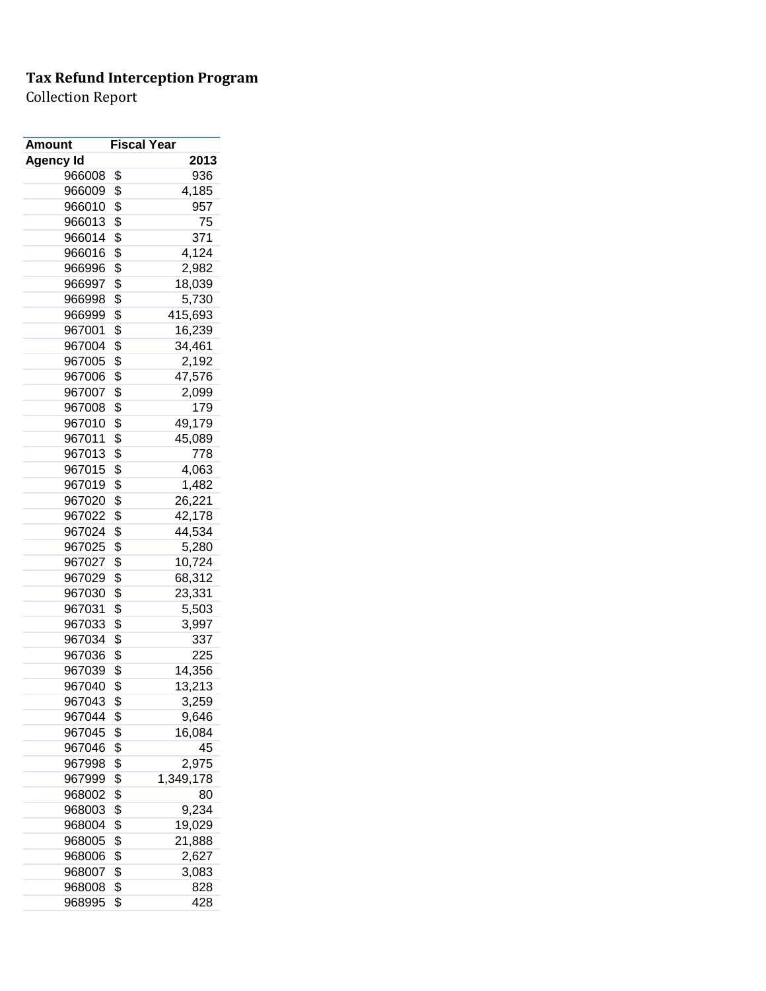| Amount           | <b>Fiscal Year</b> |           |
|------------------|--------------------|-----------|
| <b>Agency Id</b> |                    | 2013      |
| 966008           | \$                 | 936       |
| 966009           | \$                 | 4,185     |
| 966010           | \$                 | 957       |
| 966013           | \$                 | 75        |
| 966014           | \$                 | 371       |
| 966016           | \$                 | 4,124     |
| 966996           | \$                 | 2,982     |
| 966997           | \$                 | 18,039    |
| 966998           | \$                 | 5,730     |
| 966999           | \$                 | 415,693   |
| 967001           | \$                 | 16,239    |
| 967004           | \$                 | 34,461    |
| 967005           | \$                 | 2,192     |
| 967006           | \$                 | 47,576    |
| 967007           | \$                 | 2,099     |
| 967008           | \$                 | 179       |
| 967010           | \$                 | 49,179    |
| 967011           | \$                 | 45,089    |
| 967013           | \$                 | 778       |
| 967015           | \$                 | 4,063     |
| 967019           | \$                 | 1,482     |
| 967020           | \$                 | 26,221    |
| 967022           | \$                 | 42,178    |
| 967024           | \$                 | 44,534    |
| 967025           | \$                 | 5,280     |
| 967027           | \$                 | 10,724    |
| 967029           | \$                 | 68,312    |
| 967030           | \$                 | 23,331    |
| 967031           | \$                 | 5,503     |
| 967033           | \$                 | 3,997     |
| 967034           | \$                 | 337       |
| 967036           | \$                 | 225       |
| 967039           | \$                 | 14,356    |
| 967040           | \$                 | 13,213    |
| 967043           | \$                 | 3,259     |
| 967044           | \$                 | 9,646     |
| 967045           | \$                 | 16,084    |
| 967046           | \$                 | 45        |
| 967998           | \$                 | 2,975     |
| 967999           | \$                 | 1,349,178 |
| 968002           | \$                 | 80        |
| 968003           | \$                 | 9,234     |
| 968004           | \$                 | 19,029    |
| 968005           | \$                 | 21,888    |
| 968006           | \$                 | 2,627     |
| 968007           | \$                 | 3,083     |
| 968008           | \$                 | 828       |
| 968995           | \$                 | 428       |